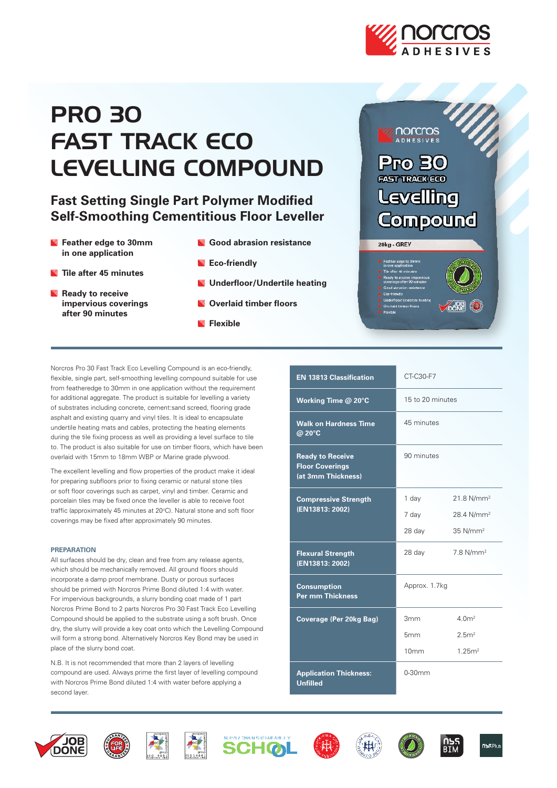

# **PRO 30** FAST TRACK ECO LEVELLING COMPOUND

# **Fast Setting Single Part Polymer Modified Self-Smoothing Cementitious Floor Leveller**

- **Feather edge to 30mm in one application**
- **Tile after 45 minutes**
- **Ready to receive impervious coverings after 90 minutes**
- **Good abrasion resistance Eco-friendly**
- **Underfloor/Undertile heating**
- **Overlaid timber floors**
- **Flexible**



Norcros Pro 30 Fast Track Eco Levelling Compound is an eco-friendly, flexible, single part, self-smoothing levelling compound suitable for use from featheredge to 30mm in one application without the requirement for additional aggregate. The product is suitable for levelling a variety of substrates including concrete, cement:sand screed, flooring grade asphalt and existing quarry and vinyl tiles. It is ideal to encapsulate undertile heating mats and cables, protecting the heating elements during the tile fixing process as well as providing a level surface to tile to. The product is also suitable for use on timber floors, which have been overlaid with 15mm to 18mm WBP or Marine grade plywood.

The excellent levelling and flow properties of the product make it ideal for preparing subfloors prior to fixing ceramic or natural stone tiles or soft floor coverings such as carpet, vinyl and timber. Ceramic and porcelain tiles may be fixed once the leveller is able to receive foot traffic (approximately 45 minutes at 20°C). Natural stone and soft floor coverings may be fixed after approximately 90 minutes.

#### **PREPARATION**

All surfaces should be dry, clean and free from any release agents, which should be mechanically removed. All ground floors should incorporate a damp proof membrane. Dusty or porous surfaces should be primed with Norcros Prime Bond diluted 1:4 with water. For impervious backgrounds, a slurry bonding coat made of 1 part Norcros Prime Bond to 2 parts Norcros Pro 30 Fast Track Eco Levelling Compound should be applied to the substrate using a soft brush. Once dry, the slurry will provide a key coat onto which the Levelling Compound will form a strong bond. Alternatively Norcros Key Bond may be used in place of the slurry bond coat.

N.B. It is not recommended that more than 2 layers of levelling compound are used. Always prime the first layer of levelling compound with Norcros Prime Bond diluted 1:4 with water before applying a second layer.

| <b>EN 13813 Classification</b>                                          | CT-C30-F7        |                         |
|-------------------------------------------------------------------------|------------------|-------------------------|
| Working Time @ 20°C                                                     | 15 to 20 minutes |                         |
| <b>Walk on Hardness Time</b><br>$\overline{\omega}$ 20°C                | 45 minutes       |                         |
| <b>Ready to Receive</b><br><b>Floor Coverings</b><br>(at 3mm Thickness) | 90 minutes       |                         |
| <b>Compressive Strength</b><br>(EN13813: 2002)                          | 1 day            | 21.8 N/mm <sup>2</sup>  |
|                                                                         | 7 day            | 28.4 N/mm <sup>2</sup>  |
|                                                                         | 28 day           | $35$ N/mm <sup>2</sup>  |
| <b>Flexural Strength</b><br>(EN13813: 2002)                             | 28 day           | $7.8$ N/mm <sup>2</sup> |
| <b>Consumption</b><br><b>Per mm Thickness</b>                           | Approx. 1.7kg    |                         |
| Coverage (Per 20kg Bag)                                                 | 3mm              | 4.0 <sup>m²</sup>       |
|                                                                         | 5 <sub>mm</sub>  | 2.5m <sup>2</sup>       |
|                                                                         | 10mm             | 1.25m <sup>2</sup>      |
| <b>Application Thickness:</b><br><b>Unfilled</b>                        | $0-30$ mm        |                         |